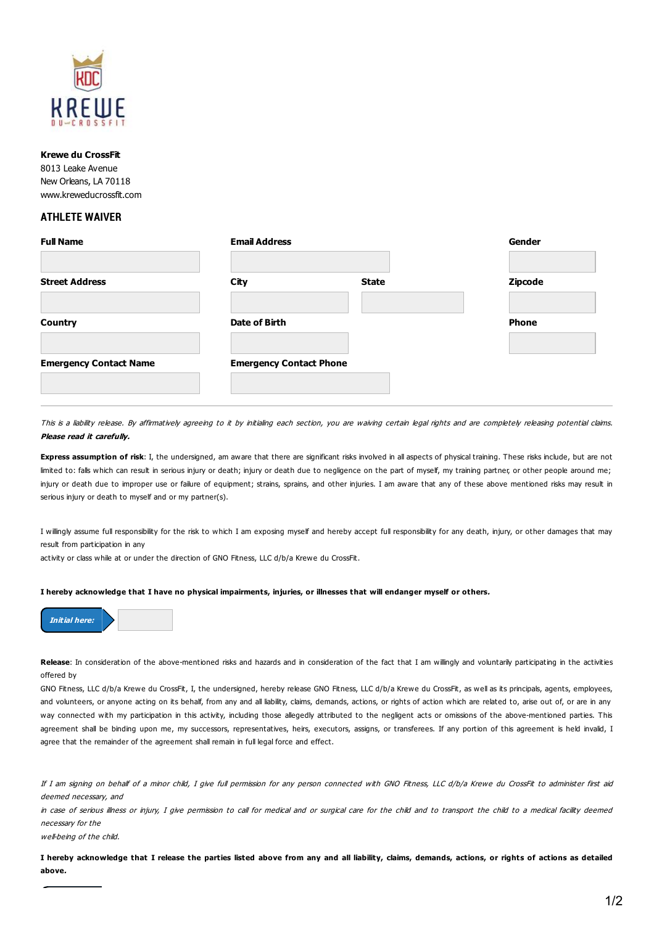

## **Krewe du CrossFit**

8013 Leake Avenue New Orleans, LA 70118 www.kreweducrossfit.com

## **ATHLETE WAIVER**

| <b>Full Name</b>              | <b>Email Address</b>           |              | Gender         |
|-------------------------------|--------------------------------|--------------|----------------|
| <b>Street Address</b>         | City                           | <b>State</b> | <b>Zipcode</b> |
| <b>Country</b>                | Date of Birth                  |              | <b>Phone</b>   |
| <b>Emergency Contact Name</b> | <b>Emergency Contact Phone</b> |              |                |
|                               |                                |              |                |

This is a liability release. By affirmatively agreeing to it by initialing each section, you are waiving certain legal rights and are completely releasing potential claims. **Please read it carefully.**

**Express assumption of risk**: I, the undersigned, am aware that there are significant risks involved in all aspects of physical training. These risks include, but are not limited to: falls which can result in serious injury or death; injury or death due to negligence on the part of myself, my training partner, or other people around me; injury or death due to improper use or failure of equipment; strains, sprains, and other injuries. I am aware that any of these above mentioned risks may result in serious injury or death to myself and or my partner(s).

I willingly assume full responsibility for the risk to which I am exposing myself and hereby accept full responsibility for any death, injury, or other damages that may result from participation in any

activity or class while at or under the direction of GNO Fitness, LLC d/b/a Krewe du CrossFit.

## I hereby acknowledge that I have no physical impairments, injuries, or illnesses that will endanger myself or others.



**Release**: In consideration of the above-mentioned risks and hazards and in consideration of the fact that I am willingly and voluntarily participating in the activities offered by

GNO Fitness, LLC d/b/a Krewe du CrossFit, I, the undersigned, hereby release GNO Fitness, LLC d/b/a Krewe du CrossFit, as well as its principals, agents, employees, and volunteers, or anyone acting on its behalf, from any and all liability, claims, demands, actions, or rights of action which are related to, arise out of, or are in any way connected with my participation in this activity, including those allegedly attributed to the negligent acts or omissions of the above-mentioned parties. This agreement shall be binding upon me, my successors, representatives, heirs, executors, assigns, or transferees. If any portion of this agreement is held invalid, I agree that the remainder of the agreement shall remain in full legal force and effect.

If I am signing on behalf of <sup>a</sup> minor child, I give full permission for any person connected with GNO Fitness, LLC d/b/a Krewe du CrossFit to administer first aid deemed necessary, and

in case of serious illness or injury, I give permission to call for medical and or surgical care for the child and to transport the child to <sup>a</sup> medical facility deemed necessary for the

well-being of the child.

I hereby acknowledge that I release the parties listed above from any and all liability, claims, demands, actions, or rights of actions as detailed **above.**